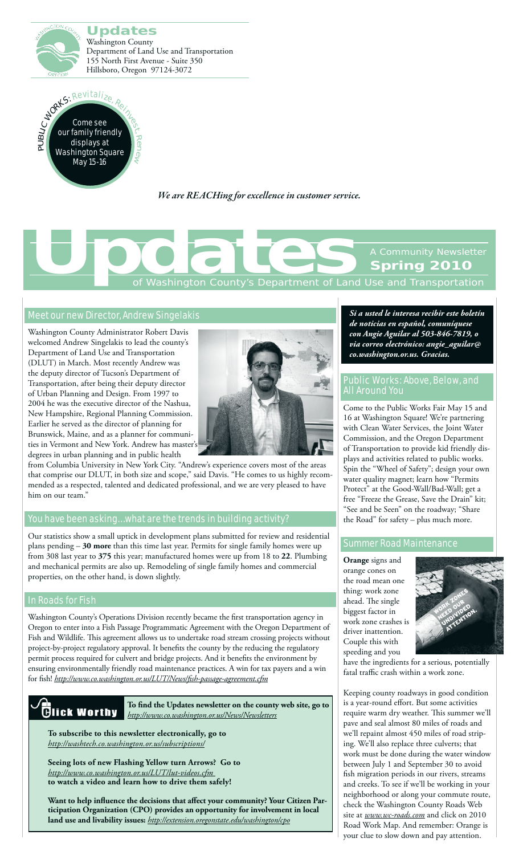



*We are REACHing for excellence in customer service.*

# Washington County's Department of Land Use and Transportation **Spring 2010 [Updates](http://www.co.washington.or.us/News/Newsletters/updates.cfm)**<br>The Control of Washington County's Department of Land

#### [Meet our new Director, Andrew Singelakis](http://www.co.washington.or.us/News/new-lut-director-named.cfm)

Washington County Administrator Robert Davis welcomed Andrew Singelakis to lead the county's Department of Land Use and Transportation (DLUT) in March. Most recently Andrew was the deputy director of Tucson's Department of Transportation, after being their deputy director of Urban Planning and Design. From 1997 to 2004 he was the executive director of the Nashua, New Hampshire, Regional Planning Commission. Earlier he served as the director of planning for Brunswick, Maine, and as a planner for communities in Vermont and New York. Andrew has master degrees in urban planning and in public health



from Columbia University in New York City. "Andrew's experience covers most of the areas that comprise our DLUT, in both size and scope," said Davis. "He comes to us highly recommended as a respected, talented and dedicated professional, and we are very pleased to have him on our team."

#### [You have been asking… what are the trends in building activity?](http://www.co.washington.or.us/LUT/Divisions/Building/index.cfm)

Our statistics show a small uptick in development plans submitted for review and residential plans pending – **30 more** than this time last year. Permits for single family homes were up from 308 last year to **375** this year; manufactured homes were up from 18 to **22**. Plumbing and mechanical permits are also up. Remodeling of single family homes and commercial properties, on the other hand, is down slightly.

#### [In Roads for Fish](http://www.co.washington.or.us/LUT/News/fish-passage-agreement.cfm )

Washington County's Operations Division recently became the first transportation agency in Oregon to enter into a Fish Passage Programmatic Agreement with the Oregon Department of Fish and Wildlife. This agreement allows us to undertake road stream crossing projects without project-by-project regulatory approval. It benefits the county by the reducing the regulatory permit process required for culvert and bridge projects. And it benefits the environment by ensuring environmentally friendly road maintenance practices. A win for tax payers and a win for fish! *[http://www.co.washington.or.us/LUT/News/fish-passage-agreement.cfm](http://www.co.washington.or.us/LUT/News/fish-passage-agreement.cfm )*



**To find the Updates newsletter on the county web site, go to**  *<http://www.co.washington.or.us/News/Newsletters>*

**To subscribe to this newsletter electronically, go to**  *<http://washtech.co.washington.or.us/subscriptions/>*

**Seeing lots of new Flashing Yellow turn Arrows? Go to**  *[http://www.co.washington.or.us/LUT/lut-videos.cfm](http://www.co.washington.or.us/LUT/lut-videos.cfm )* **to watch a video and learn how to drive them safely!**

**Want to help influence the decisions that affect your community? Your Citizen Participation Organization (CPO) provides an opportunity for involvement in local land use and livability issues:** *<http://extension.oregonstate.edu/washington/cpo>*

*Si a usted le interesa recibir este boletín de noticias en español, comuníquese con Angie Aguilar al 503-846-7819, o via correo electrónico: angie\_aguilar@ co.washington.or.us. Gracias.*

#### [Public Works: Above, Below, and](http://www.co.washington.or.us/LUT/News/national-public-works-week.cfm)  [All Around You](http://www.co.washington.or.us/LUT/News/national-public-works-week.cfm)

Come to the Public Works Fair May 15 and 16 at Washington Square! We're partnering with Clean Water Services, the Joint Water Commission, and the Oregon Department of Transportation to provide kid friendly displays and activities related to public works. Spin the "Wheel of Safety"; design your own water quality magnet; learn how "Permits Protect" at the Good-Wall/Bad-Wall; get a free "Freeze the Grease, Save the Drain" kit; "See and be Seen" on the roadway; "Share the Road" for safety – plus much more.

#### [Summer Road Maintenance](http://www.wc-roads.com/)

**Orange** signs and orange cones on the road mean one thing: work zone ahead. The single biggest factor in work zone crashes is driver inattention. Couple this with speeding and you



have the ingredients for a serious, potentially fatal traffic crash within a work zone.

Keeping county roadways in good condition is a year-round effort. But some activities require warm dry weather. This summer we'll pave and seal almost 80 miles of roads and we'll repaint almost 450 miles of road striping. We'll also replace three culverts; that work must be done during the water window between July 1 and September 30 to avoid fish migration periods in our rivers, streams and creeks. To see if we'll be working in your neighborhood or along your commute route, check the Washington County Roads Web site at *[www.wc-roads.com](http://www.wc-roads.com/)* and click on 2010 Road Work Map. And remember: Orange is your clue to slow down and pay attention.